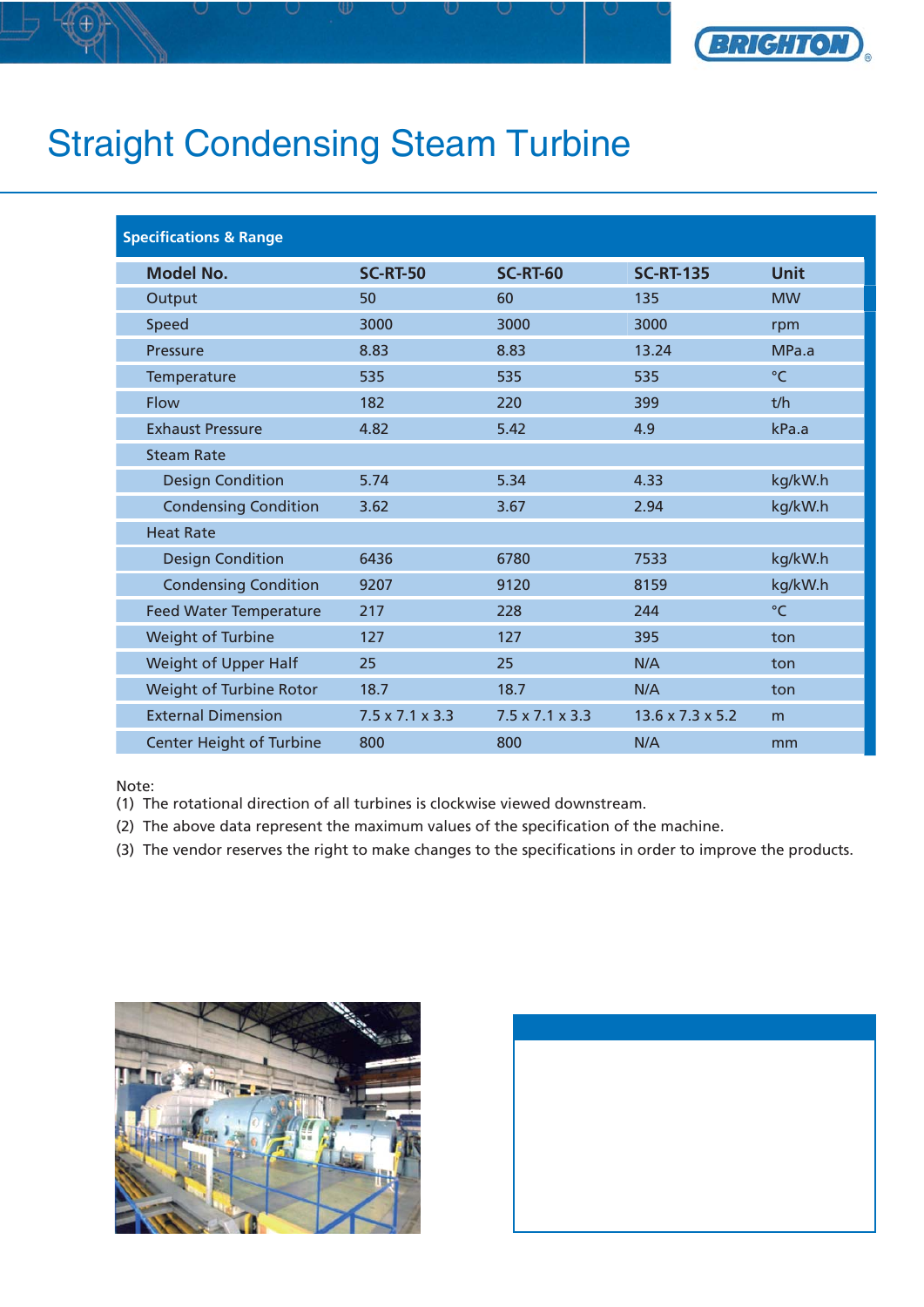

## Straight Condensing Steam Turbine

| <b>Specifications &amp; Range</b> |                             |                             |                              |             |
|-----------------------------------|-----------------------------|-----------------------------|------------------------------|-------------|
| <b>Model No.</b>                  | <b>SC-RT-50</b>             | <b>SC-RT-60</b>             | <b>SC-RT-135</b>             | <b>Unit</b> |
| Output                            | 50                          | 60                          | 135                          | <b>MW</b>   |
| Speed                             | 3000                        | 3000                        | 3000                         | rpm         |
| Pressure                          | 8.83                        | 8.83                        | 13.24                        | MPa.a       |
| Temperature                       | 535                         | 535                         | 535                          | $\circ$ C   |
| Flow                              | 182                         | 220                         | 399                          | t/h         |
| <b>Exhaust Pressure</b>           | 4.82                        | 5.42                        | 4.9                          | kPa.a       |
| <b>Steam Rate</b>                 |                             |                             |                              |             |
| <b>Design Condition</b>           | 5.74                        | 5.34                        | 4.33                         | kg/kW.h     |
| <b>Condensing Condition</b>       | 3.62                        | 3.67                        | 2.94                         | kg/kW.h     |
| <b>Heat Rate</b>                  |                             |                             |                              |             |
| <b>Design Condition</b>           | 6436                        | 6780                        | 7533                         | kg/kW.h     |
| <b>Condensing Condition</b>       | 9207                        | 9120                        | 8159                         | kg/kW.h     |
| <b>Feed Water Temperature</b>     | 217                         | 228                         | 244                          | °C          |
| Weight of Turbine                 | 127                         | 127                         | 395                          | ton         |
| Weight of Upper Half              | 25                          | 25                          | N/A                          | ton         |
| Weight of Turbine Rotor           | 18.7                        | 18.7                        | N/A                          | ton         |
| <b>External Dimension</b>         | $7.5 \times 7.1 \times 3.3$ | $7.5 \times 7.1 \times 3.3$ | $13.6 \times 7.3 \times 5.2$ | m           |
| <b>Center Height of Turbine</b>   | 800                         | 800                         | N/A                          | mm          |

Note:

(1) The rotational direction of all turbines is clockwise viewed downstream.

(2) The above data represent the maximum values of the specification of the machine.

(3) The vendor reserves the right to make changes to the specifications in order to improve the products.